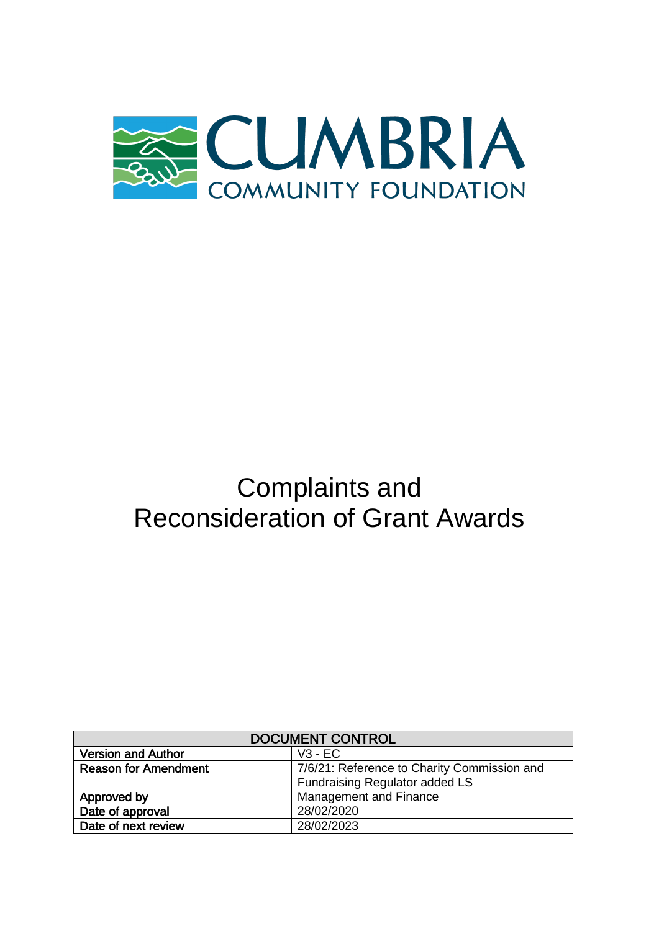

# Complaints and Reconsideration of Grant Awards

| <b>DOCUMENT CONTROL</b>     |                                             |
|-----------------------------|---------------------------------------------|
| <b>Version and Author</b>   | $V3 - EC$                                   |
| <b>Reason for Amendment</b> | 7/6/21: Reference to Charity Commission and |
|                             | Fundraising Regulator added LS              |
| Approved by                 | Management and Finance                      |
| Date of approval            | 28/02/2020                                  |
| Date of next review         | 28/02/2023                                  |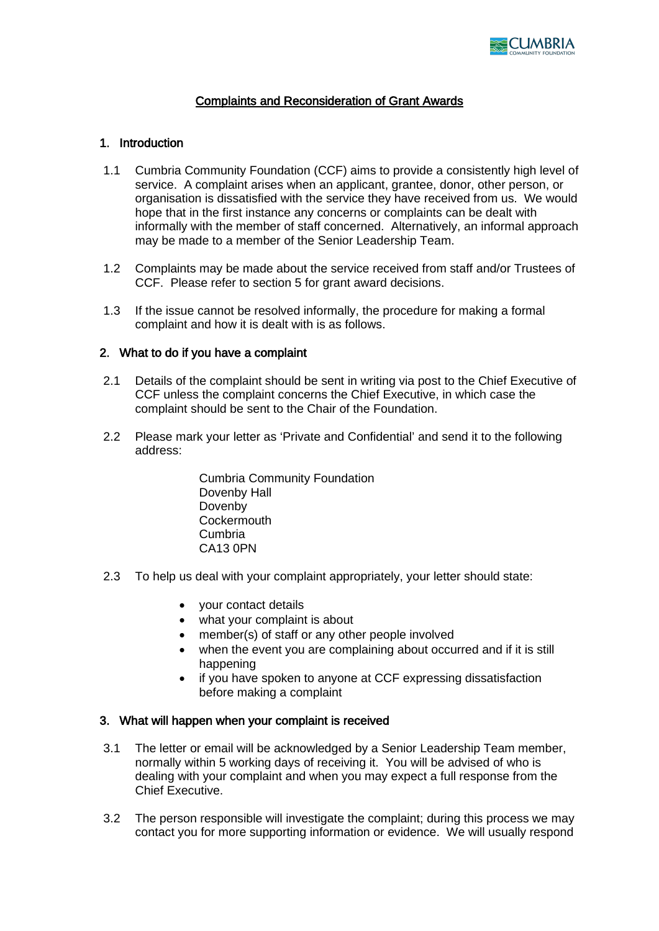

# Complaints and Reconsideration of Grant Awards

## 1. Introduction

- 1.1 Cumbria Community Foundation (CCF) aims to provide a consistently high level of service. A complaint arises when an applicant, grantee, donor, other person, or organisation is dissatisfied with the service they have received from us. We would hope that in the first instance any concerns or complaints can be dealt with informally with the member of staff concerned. Alternatively, an informal approach may be made to a member of the Senior Leadership Team.
- 1.2 Complaints may be made about the service received from staff and/or Trustees of CCF. Please refer to section 5 for grant award decisions.
- 1.3 If the issue cannot be resolved informally, the procedure for making a formal complaint and how it is dealt with is as follows.

### 2. What to do if you have a complaint

- 2.1 Details of the complaint should be sent in writing via post to the Chief Executive of CCF unless the complaint concerns the Chief Executive, in which case the complaint should be sent to the Chair of the Foundation.
- 2.2 Please mark your letter as 'Private and Confidential' and send it to the following address:

Cumbria Community Foundation Dovenby Hall Dovenby **Cockermouth** Cumbria CA13 0PN

- 2.3 To help us deal with your complaint appropriately, your letter should state:
	- your contact details
	- what your complaint is about
	- member(s) of staff or any other people involved
	- when the event you are complaining about occurred and if it is still happening
	- if you have spoken to anyone at CCF expressing dissatisfaction before making a complaint

#### 3. What will happen when your complaint is received

- 3.1 The letter or email will be acknowledged by a Senior Leadership Team member, normally within 5 working days of receiving it. You will be advised of who is dealing with your complaint and when you may expect a full response from the Chief Executive.
- 3.2 The person responsible will investigate the complaint; during this process we may contact you for more supporting information or evidence. We will usually respond